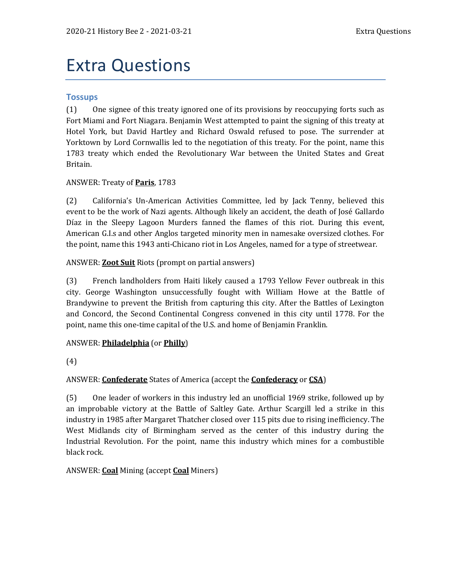# Extra Questions

## **Tossups**

(1) One signee of this treaty ignored one of its provisions by reoccupying forts such as Fort Miami and Fort Niagara. Benjamin West attempted to paint the signing of this treaty at Hotel York, but David Hartley and Richard Oswald refused to pose. The surrender at Yorktown by Lord Cornwallis led to the negotiation of this treaty. For the point, name this 1783 treaty which ended the Revolutionary War between the United States and Great Britain.

## ANSWER: Treaty of **Paris**, 1783

(2) California's Un-American Activities Committee, led by Jack Tenny, believed this event to be the work of Nazi agents. Although likely an accident, the death of José Gallardo Díaz in the Sleepy Lagoon Murders fanned the flames of this riot. During this event, American G.I.s and other Anglos targeted minority men in namesake oversized clothes. For the point, name this 1943 anti-Chicano riot in Los Angeles, named for a type of streetwear.

## ANSWER: **Zoot Suit** Riots (prompt on partial answers)

(3) French landholders from Haiti likely caused a 1793 Yellow Fever outbreak in this city. George Washington unsuccessfully fought with William Howe at the Battle of Brandywine to prevent the British from capturing this city. After the Battles of Lexington and Concord, the Second Continental Congress convened in this city until 1778. For the point, name this one-time capital of the U.S. and home of Benjamin Franklin.

#### ANSWER: **Philadelphia** (or **Philly**)

(4)

# ANSWER: **Confederate** States of America (accept the **Confederacy** or **CSA**)

(5) One leader of workers in this industry led an unofficial 1969 strike, followed up by an improbable victory at the Battle of Saltley Gate. Arthur Scargill led a strike in this industry in 1985 after Margaret Thatcher closed over 115 pits due to rising inefficiency. The West Midlands city of Birmingham served as the center of this industry during the Industrial Revolution. For the point, name this industry which mines for a combustible black rock.

#### ANSWER: **Coal** Mining (accept **Coal** Miners)